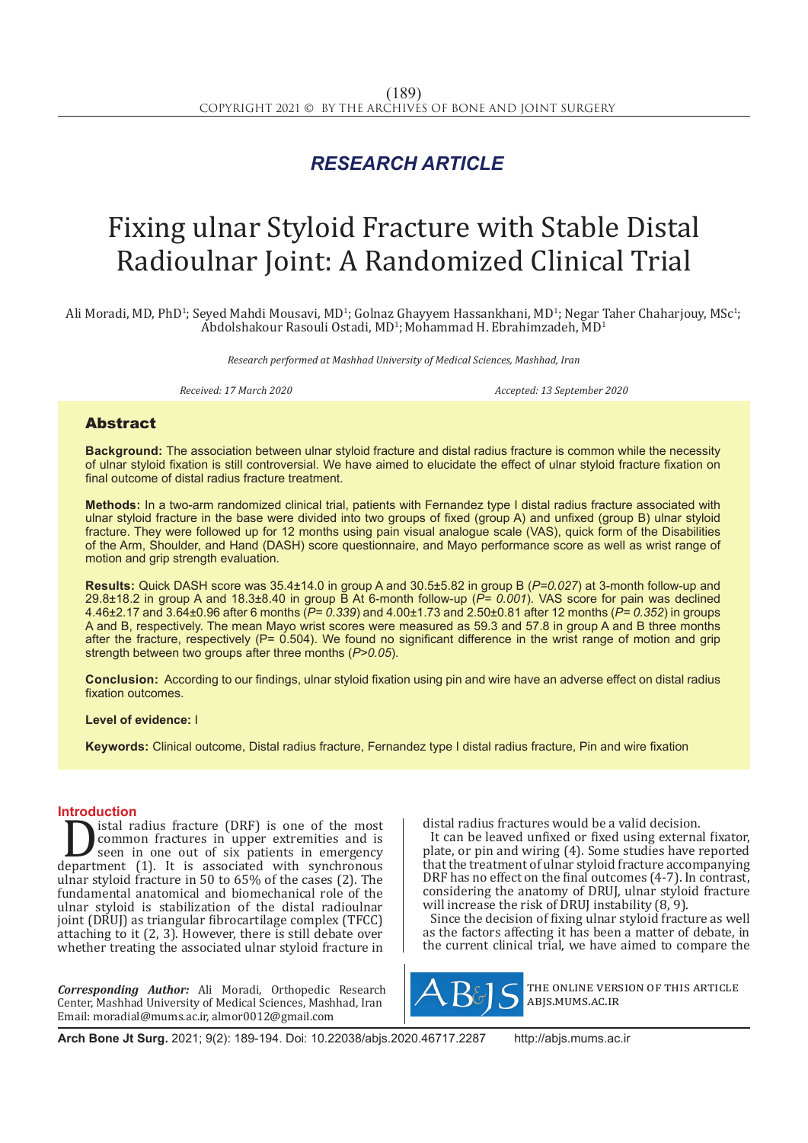## *RESEARCH ARTICLE*

# Fixing ulnar Styloid Fracture with Stable Distal Radioulnar Joint: A Randomized Clinical Trial

Ali Moradi, MD, PhD<sup>1</sup>; Seyed Mahdi Mousavi, MD<sup>1</sup>; Golnaz Ghayyem Hassankhani, MD<sup>1</sup>; Negar Taher Chaharjouy, MSc<sup>1</sup>;  $A$ bdolshakour Rasouli Ostadi, MD<sup>1</sup>; Mohammad H. Ebrahimzadeh, MD<sup>1</sup>

*Research performed at Mashhad University of Medical Sciences, Mashhad, Iran*

*Received: 17 March 2020 Accepted: 13 September 2020*

### Abstract

**Background:** The association between ulnar styloid fracture and distal radius fracture is common while the necessity of ulnar styloid fixation is still controversial. We have aimed to elucidate the effect of ulnar styloid fracture fixation on final outcome of distal radius fracture treatment.

**Methods:** In a two-arm randomized clinical trial, patients with Fernandez type I distal radius fracture associated with ulnar styloid fracture in the base were divided into two groups of fixed (group A) and unfixed (group B) ulnar styloid fracture. They were followed up for 12 months using pain visual analogue scale (VAS), quick form of the Disabilities of the Arm, Shoulder, and Hand (DASH) score questionnaire, and Mayo performance score as well as wrist range of motion and grip strength evaluation.

**Results:** Quick DASH score was 35.4±14.0 in group A and 30.5±5.82 in group B (*P=0.027*) at 3-month follow-up and 29.8±18.2 in group A and 18.3±8.40 in group B At 6-month follow-up (*P= 0.001*). VAS score for pain was declined 4.46±2.17 and 3.64±0.96 after 6 months (*P= 0.339*) and 4.00±1.73 and 2.50±0.81 after 12 months (*P= 0.352*) in groups A and B, respectively. The mean Mayo wrist scores were measured as 59.3 and 57.8 in group A and B three months after the fracture, respectively ( $P= 0.504$ ). We found no significant difference in the wrist range of motion and grip strength between two groups after three months (*P>0.05*).

**Conclusion:** According to our findings, ulnar styloid fixation using pin and wire have an adverse effect on distal radius fixation outcomes.

**Level of evidence:** I

**Keywords:** Clinical outcome, Distal radius fracture, Fernandez type I distal radius fracture, Pin and wire fixation

**Introduction**<br>**Interval** is stal radius fracture (DRF) is one of the most **Solution** is the most<br>
seen in one out of six patients in emergency<br>
department (1). It is associated with synchronous<br>
upar styloid fracture in 50 to 65% of the cases (2). The common fractures in upper extremities and is seen in one out of six patients in emergency ulnar styloid fracture in 50 to 65% of the cases (2). The fundamental anatomical and biomechanical role of the ulnar styloid is stabilization of the distal radioulnar joint (DRUJ) as triangular fibrocartilage complex (TFCC) attaching to it (2, 3). However, there is still debate over whether treating the associated ulnar styloid fracture in

*Corresponding Author:* Ali Moradi, Orthopedic Research Center, Mashhad University of Medical Sciences, Mashhad, Iran Email: moradial@mums.ac.ir, almor0012@gmail.com

distal radius fractures would be a valid decision.

It can be leaved unfixed or fixed using external fixator, plate, or pin and wiring (4). Some studies have reported that the treatment of ulnar styloid fracture accompanying DRF has no effect on the final outcomes (4-7). In contrast, considering the anatomy of DRUJ, ulnar styloid fracture will increase the risk of DRUJ instability (8, 9).

Since the decision of fixing ulnar styloid fracture as well as the factors affecting it has been a matter of debate, in the current clinical trial, we have aimed to compare the



the online version of this article abjs.mums.ac.ir

**Arch Bone Jt Surg.** 2021; 9(2): 189-194. Doi: 10.22038/abjs.2020.46717.2287 http://abjs.mums.ac.ir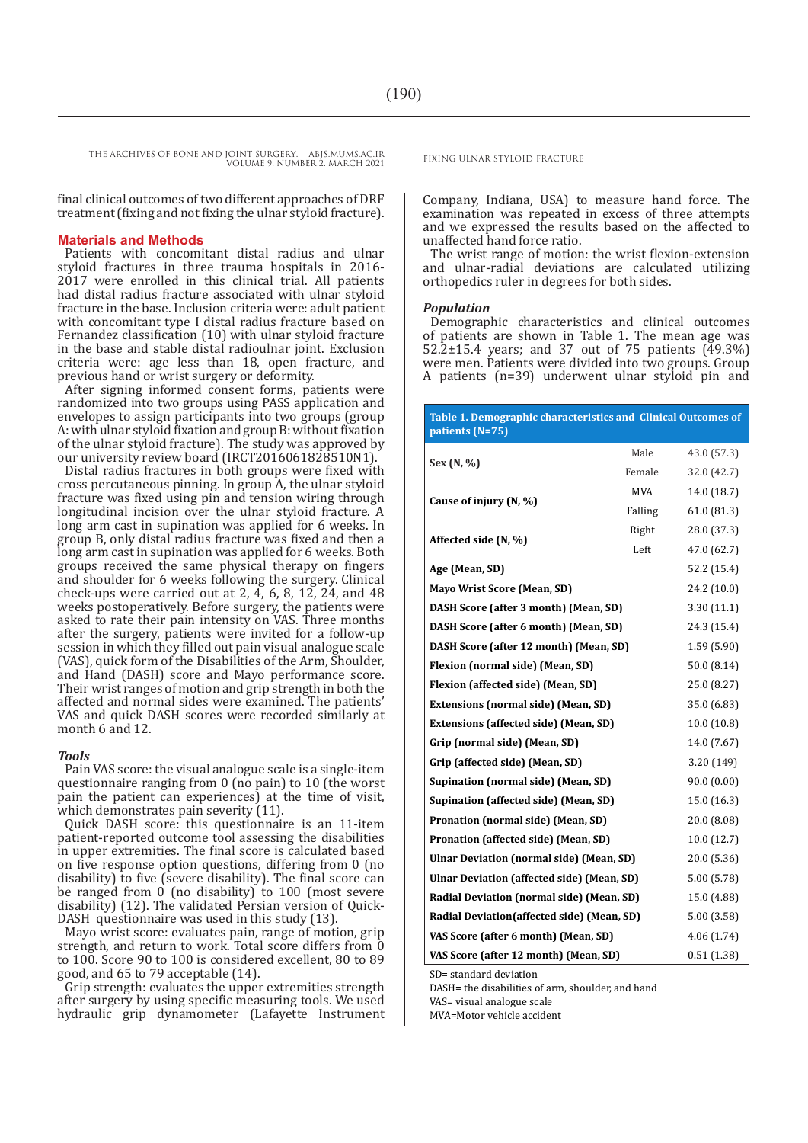THE ARCHIVES OF BONE AND JOINT SURGERY. ABJS.MUMS.AC.IR<br>
FIXING ULNAR STYLOID FRACTURE VOLUME 9. NUMBER 2. MARCH 2021

final clinical outcomes of two different approaches of DRF treatment (fixing and not fixing the ulnar styloid fracture).

#### **Materials and Methods**

Patients with concomitant distal radius and ulnar styloid fractures in three trauma hospitals in 2016- 2017 were enrolled in this clinical trial. All patients had distal radius fracture associated with ulnar styloid fracture in the base. Inclusion criteria were: adult patient with concomitant type I distal radius fracture based on Fernandez classification (10) with ulnar styloid fracture in the base and stable distal radioulnar joint. Exclusion criteria were: age less than 18, open fracture, and previous hand or wrist surgery or deformity.

After signing informed consent forms, patients were randomized into two groups using PASS application and envelopes to assign participants into two groups (group A: with ulnar styloid fixation and group B: without fixation of the ulnar styloid fracture). The study was approved by our university review board (IRCT2016061828510N1).

Distal radius fractures in both groups were fixed with cross percutaneous pinning. In group A, the ulnar styloid fracture was fixed using pin and tension wiring through longitudinal incision over the ulnar styloid fracture. A long arm cast in supination was applied for 6 weeks. In group B, only distal radius fracture was fixed and then a long arm cast in supination was applied for 6 weeks. Both groups received the same physical therapy on fingers and shoulder for 6 weeks following the surgery. Clinical check-ups were carried out at 2,  $\overline{4}$ , 6, 8, 12, 24, and 48 weeks postoperatively. Before surgery, the patients were asked to rate their pain intensity on VAS. Three months after the surgery, patients were invited for a follow-up session in which they filled out pain visual analogue scale (VAS), quick form of the Disabilities of the Arm, Shoulder, and Hand (DASH) score and Mayo performance score. Their wrist ranges of motion and grip strength in both the affected and normal sides were examined. The patients' VAS and quick DASH scores were recorded similarly at month 6 and 12.

#### *Tools*

Pain VAS score: the visual analogue scale is a single-item questionnaire ranging from 0 (no pain) to 10 (the worst pain the patient can experiences) at the time of visit, which demonstrates pain severity  $(11)$ .

Quick DASH score: this questionnaire is an 11-item patient-reported outcome tool assessing the disabilities in upper extremities. The final score is calculated based on five response option questions, differing from 0 (no disability) to five (severe disability). The final score can be ranged from  $\theta$  (no disability) to 100 (most severe disability) (12). The validated Persian version of Quick-DASH questionnaire was used in this study (13).

Mayo wrist score: evaluates pain, range of motion, grip strength, and return to work. Total score differs from 0 to 100. Score 90 to 100 is considered excellent, 80 to 89 good, and 65 to 79 acceptable (14).

Grip strength: evaluates the upper extremities strength after surgery by using specific measuring tools. We used hydraulic grip dynamometer (Lafayette Instrument

Company, Indiana, USA) to measure hand force. The examination was repeated in excess of three attempts and we expressed the results based on the affected to unaffected hand force ratio.

The wrist range of motion: the wrist flexion-extension and ulnar-radial deviations are calculated utilizing orthopedics ruler in degrees for both sides.

#### *Population*

Demographic characteristics and clinical outcomes of patients are shown in Table 1. The mean age was 52.2±15.4 years; and 37 out of 75 patients (49.3%) were men. Patients were divided into two groups. Group A patients (n=39) underwent ulnar styloid pin and

| Table 1. Demographic characteristics and Clinical Outcomes of<br>patients (N=75) |             |             |  |  |
|----------------------------------------------------------------------------------|-------------|-------------|--|--|
| Sex (N, %)                                                                       | Male        | 43.0 (57.3) |  |  |
|                                                                                  | Female      | 32.0 (42.7) |  |  |
|                                                                                  | MVA         | 14.0 (18.7) |  |  |
| Cause of injury (N, %)                                                           | Falling     | 61.0(81.3)  |  |  |
|                                                                                  | Right       | 28.0 (37.3) |  |  |
| Affected side (N, %)                                                             | Left        | 47.0 (62.7) |  |  |
| Age (Mean, SD)                                                                   | 52.2 (15.4) |             |  |  |
| <b>Mayo Wrist Score (Mean, SD)</b>                                               | 24.2 (10.0) |             |  |  |
| DASH Score (after 3 month) (Mean, SD)                                            | 3.30(11.1)  |             |  |  |
| DASH Score (after 6 month) (Mean, SD)                                            | 24.3 (15.4) |             |  |  |
| DASH Score (after 12 month) (Mean, SD)                                           | 1.59(5.90)  |             |  |  |
| Flexion (normal side) (Mean, SD)                                                 | 50.0 (8.14) |             |  |  |
| Flexion (affected side) (Mean, SD)                                               | 25.0 (8.27) |             |  |  |
| Extensions (normal side) (Mean, SD)                                              | 35.0 (6.83) |             |  |  |
| Extensions (affected side) (Mean, SD)                                            | 10.0(10.8)  |             |  |  |
| Grip (normal side) (Mean, SD)                                                    | 14.0 (7.67) |             |  |  |
| Grip (affected side) (Mean, SD)                                                  | 3.20 (149)  |             |  |  |
| Supination (normal side) (Mean, SD)                                              | 90.0(0.00)  |             |  |  |
| Supination (affected side) (Mean, SD)                                            | 15.0 (16.3) |             |  |  |
| Pronation (normal side) (Mean, SD)                                               | 20.0 (8.08) |             |  |  |
| Pronation (affected side) (Mean, SD)                                             | 10.0(12.7)  |             |  |  |
| Ulnar Deviation (normal side) (Mean, SD)                                         | 20.0 (5.36) |             |  |  |
| Ulnar Deviation (affected side) (Mean, SD)                                       | 5.00 (5.78) |             |  |  |
| Radial Deviation (normal side) (Mean, SD)                                        | 15.0 (4.88) |             |  |  |
| Radial Deviation (affected side) (Mean, SD)                                      | 5.00 (3.58) |             |  |  |
| VAS Score (after 6 month) (Mean, SD)                                             | 4.06(1.74)  |             |  |  |
| VAS Score (after 12 month) (Mean, SD)                                            | 0.51(1.38)  |             |  |  |

SD= standard deviation

DASH= the disabilities of arm, shoulder, and hand

VAS= visual analogue scale

MVA=Motor vehicle accident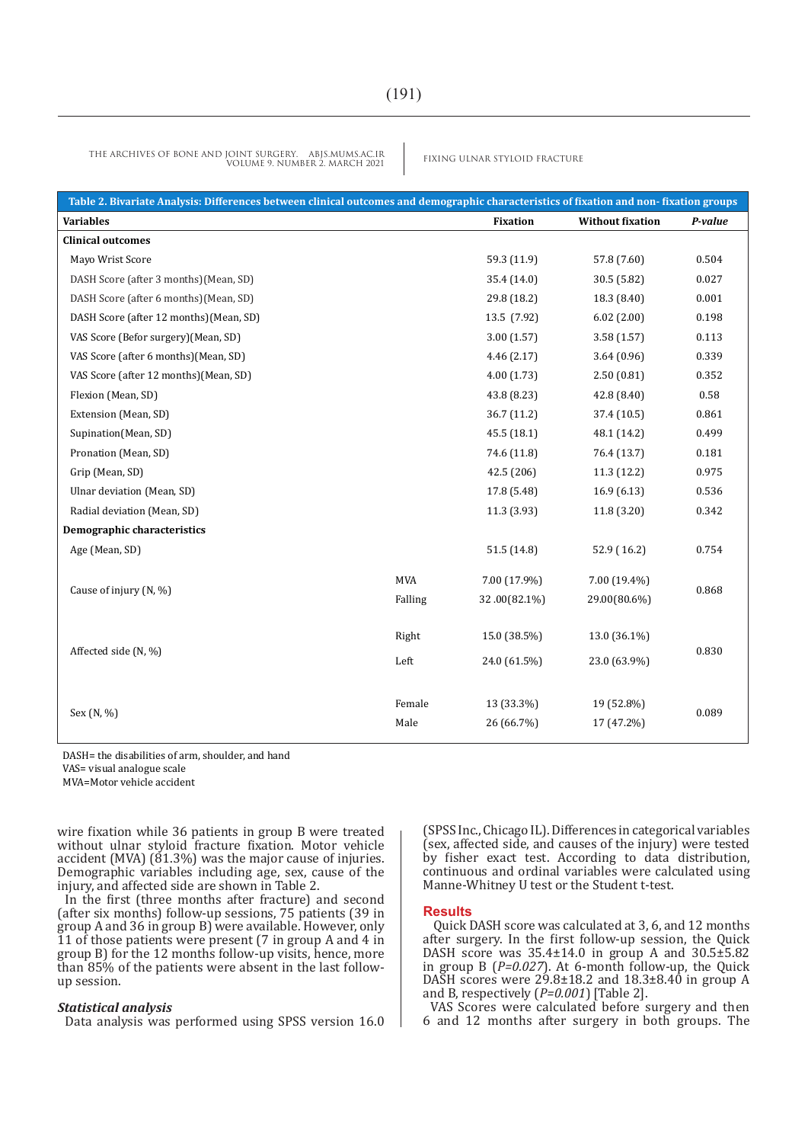THE ARCHIVES OF BONE AND JOINT SURGERY. ABJS.MUMS.AC.IR<br>
FIXING ULNAR STYLOID FRACTURE VOLUME 9. NUMBER 2. MARCH 2021

| Table 2. Bivariate Analysis: Differences between clinical outcomes and demographic characteristics of fixation and non-fixation groups |                |                          |                          |         |  |  |  |  |
|----------------------------------------------------------------------------------------------------------------------------------------|----------------|--------------------------|--------------------------|---------|--|--|--|--|
| <b>Variables</b>                                                                                                                       |                | <b>Fixation</b>          | <b>Without fixation</b>  | P-value |  |  |  |  |
| <b>Clinical outcomes</b>                                                                                                               |                |                          |                          |         |  |  |  |  |
| Mayo Wrist Score                                                                                                                       |                | 59.3 (11.9)              | 57.8 (7.60)              | 0.504   |  |  |  |  |
| DASH Score (after 3 months)(Mean, SD)                                                                                                  |                | 35.4 (14.0)              | 30.5 (5.82)              | 0.027   |  |  |  |  |
| DASH Score (after 6 months) (Mean, SD)                                                                                                 |                | 29.8 (18.2)              | 18.3 (8.40)              | 0.001   |  |  |  |  |
| DASH Score (after 12 months) (Mean, SD)                                                                                                |                | 13.5 (7.92)              | 6.02(2.00)               | 0.198   |  |  |  |  |
| VAS Score (Befor surgery)(Mean, SD)                                                                                                    |                | 3.00(1.57)               | 3.58(1.57)               | 0.113   |  |  |  |  |
| VAS Score (after 6 months) (Mean, SD)                                                                                                  |                | 4.46(2.17)               | 3.64(0.96)               | 0.339   |  |  |  |  |
| VAS Score (after 12 months) (Mean, SD)                                                                                                 |                | 4.00(1.73)               | 2.50(0.81)               | 0.352   |  |  |  |  |
| Flexion (Mean, SD)                                                                                                                     |                | 43.8 (8.23)              | 42.8(8.40)               | 0.58    |  |  |  |  |
| Extension (Mean, SD)                                                                                                                   |                | 36.7(11.2)               | 37.4 (10.5)              | 0.861   |  |  |  |  |
| Supination(Mean, SD)                                                                                                                   |                | 45.5(18.1)               | 48.1 (14.2)              | 0.499   |  |  |  |  |
| Pronation (Mean, SD)                                                                                                                   |                | 74.6 (11.8)              | 76.4 (13.7)              | 0.181   |  |  |  |  |
| Grip (Mean, SD)                                                                                                                        |                | 42.5 (206)               | 11.3(12.2)               | 0.975   |  |  |  |  |
| Ulnar deviation (Mean, SD)                                                                                                             |                | 17.8 (5.48)              | 16.9(6.13)               | 0.536   |  |  |  |  |
| Radial deviation (Mean, SD)                                                                                                            |                | 11.3 (3.93)              | 11.8(3.20)               | 0.342   |  |  |  |  |
| Demographic characteristics                                                                                                            |                |                          |                          |         |  |  |  |  |
| Age (Mean, SD)                                                                                                                         |                | 51.5(14.8)               | 52.9 (16.2)              | 0.754   |  |  |  |  |
| Cause of injury (N, %)                                                                                                                 | <b>MVA</b>     | 7.00 (17.9%)             | 7.00 (19.4%)             | 0.868   |  |  |  |  |
|                                                                                                                                        | Falling        | 32.00(82.1%)             | 29.00(80.6%)             |         |  |  |  |  |
|                                                                                                                                        | Right          | 15.0 (38.5%)             | 13.0 (36.1%)             |         |  |  |  |  |
| Affected side (N, %)                                                                                                                   | Left           | 24.0 (61.5%)             | 23.0 (63.9%)             | 0.830   |  |  |  |  |
| Sex (N, %)                                                                                                                             | Female<br>Male | 13 (33.3%)<br>26 (66.7%) | 19 (52.8%)<br>17 (47.2%) | 0.089   |  |  |  |  |

DASH= the disabilities of arm, shoulder, and hand VAS= visual analogue scale

MVA=Motor vehicle accident

wire fixation while 36 patients in group B were treated without ulnar styloid fracture fixation. Motor vehicle accident (MVA)  $(\dot{8}1.3\%)$  was the major cause of injuries. Demographic variables including age, sex, cause of the injury, and affected side are shown in Table 2.

In the first (three months after fracture) and second (after six months) follow-up sessions, 75 patients (39 in group A and 36 in group B) were available. However, only 11 of those patients were present (7 in group A and 4 in group B) for the 12 months follow-up visits, hence, more than 85% of the patients were absent in the last followup session.

#### *Statistical analysis*

Data analysis was performed using SPSS version 16.0

(SPSS Inc., Chicago IL). Differences in categorical variables (sex, affected side, and causes of the injury) were tested by fisher exact test. According to data distribution, continuous and ordinal variables were calculated using Manne-Whitney U test or the Student t-test.

#### **Results**

 Quick DASH score was calculated at 3, 6, and 12 months after surgery. In the first follow-up session, the Quick DASH score was 35.4±14.0 in group A and 30.5±5.82 in group B (*P=0.027*). At 6-month follow-up, the Quick DASH scores were 29.8±18.2 and 18.3±8.40 in group A and B, respectively (*P=0.001*) [Table 2].

VAS Scores were calculated before surgery and then 6 and 12 months after surgery in both groups. The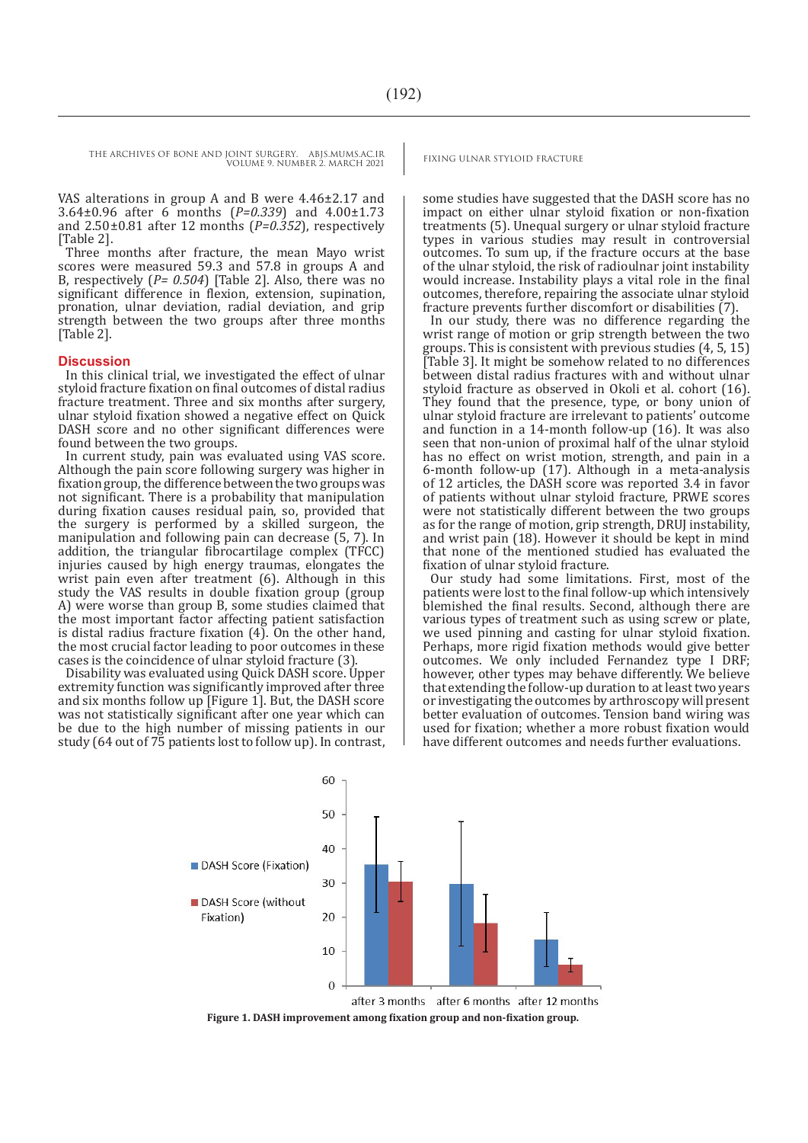THE ARCHIVES OF BONE AND JOINT SURGERY. ABJS.MUMS.AC.IR FIXING ULNAR STYLOID FRACTURE VOLUME 9. NUMBER 2. MARCH 2021

VAS alterations in group A and B were 4.46±2.17 and 3.64±0.96 after 6 months (*P=0.339*) and 4.00±1.73 and 2.50±0.81 after 12 months (*P=0.352*), respectively [Table 2].

Three months after fracture, the mean Mayo wrist scores were measured 59.3 and 57.8 in groups A and B, respectively (*P= 0.504*) [Table 2]. Also, there was no significant difference in flexion, extension, supination, pronation, ulnar deviation, radial deviation, and grip strength between the two groups after three months [Table 2].

#### **Discussion**

In this clinical trial, we investigated the effect of ulnar styloid fracture fixation on final outcomes of distal radius fracture treatment. Three and six months after surgery, ulnar styloid fixation showed a negative effect on Quick DASH score and no other significant differences were found between the two groups.

In current study, pain was evaluated using VAS score. Although the pain score following surgery was higher in fixation group, the difference between the two groups was not significant. There is a probability that manipulation during fixation causes residual pain, so, provided that the surgery is performed by a skilled surgeon, the manipulation and following pain can decrease (5, 7). In addition, the triangular fibrocartilage complex (TFCC) injuries caused by high energy traumas, elongates the wrist pain even after treatment (6). Although in this study the VAS results in double fixation group (group A) were worse than group B, some studies claimed that the most important factor affecting patient satisfaction is distal radius fracture fixation (4). On the other hand, the most crucial factor leading to poor outcomes in these cases is the coincidence of ulnar styloid fracture (3).

Disability was evaluated using Quick DASH score. Upper extremity function was significantly improved after three and six months follow up [Figure 1]. But, the DASH score was not statistically significant after one year which can be due to the high number of missing patients in our study (64 out of 75 patients lost to follow up). In contrast,

some studies have suggested that the DASH score has no impact on either ulnar styloid fixation or non-fixation treatments (5). Unequal surgery or ulnar styloid fracture types in various studies may result in controversial outcomes. To sum up, if the fracture occurs at the base of the ulnar styloid, the risk of radioulnar joint instability would increase. Instability plays a vital role in the final outcomes, therefore, repairing the associate ulnar styloid fracture prevents further discomfort or disabilities (7).

In our study, there was no difference regarding the wrist range of motion or grip strength between the two groups. This is consistent with previous studies (4, 5, 15) [Table 3]. It might be somehow related to no differences between distal radius fractures with and without ulnar styloid fracture as observed in Okoli et al. cohort (16). They found that the presence, type, or bony union of ulnar styloid fracture are irrelevant to patients' outcome and function in a 14-month follow-up (16). It was also seen that non-union of proximal half of the ulnar styloid has no effect on wrist motion, strength, and pain in a 6-month follow-up (17). Although in a meta-analysis of 12 articles, the DASH score was reported 3.4 in favor of patients without ulnar styloid fracture, PRWE scores were not statistically different between the two groups as for the range of motion, grip strength, DRUJ instability, and wrist pain (18). However it should be kept in mind that none of the mentioned studied has evaluated the fixation of ulnar styloid fracture.

Our study had some limitations. First, most of the patients were lost to the final follow-up which intensively blemished the final results. Second, although there are various types of treatment such as using screw or plate, we used pinning and casting for ulnar styloid fixation. Perhaps, more rigid fixation methods would give better outcomes. We only included Fernandez type I DRF; however, other types may behave differently. We believe that extending the follow-up duration to at least two years or investigating the outcomes by arthroscopy will present better evaluation of outcomes. Tension band wiring was used for fixation; whether a more robust fixation would have different outcomes and needs further evaluations.



**Figure 1. DASH improvement among fixation group and non-fixation group.**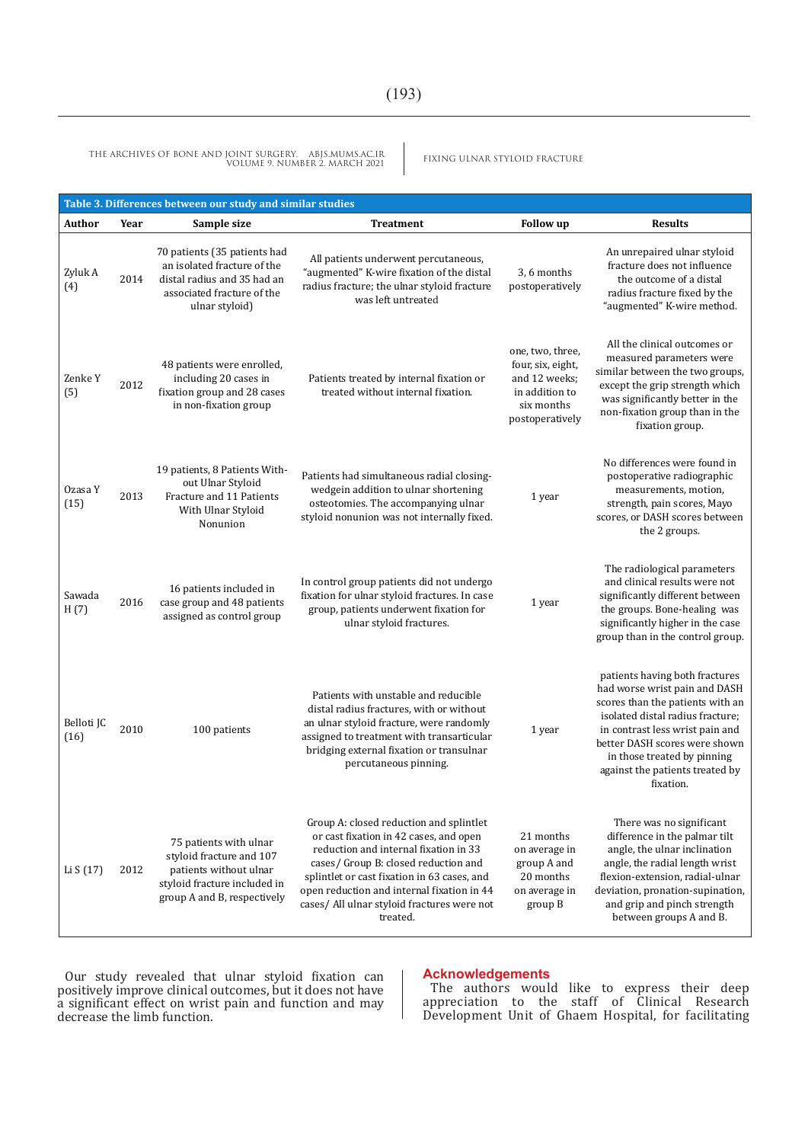FIXING ULNAR STYLOID FRACTURE THE ARCHIVES OF BONE AND JOINT SURGERY. ABJS.MUMS.AC.IR VOLUME 9. NUMBER 2. MARCH 2021

| Table 3. Differences between our study and similar studies |      |                                                                                                                                             |                                                                                                                                                                                                                                                                                                                            |                                                                                                           |                                                                                                                                                                                                                                                                                            |  |  |  |  |
|------------------------------------------------------------|------|---------------------------------------------------------------------------------------------------------------------------------------------|----------------------------------------------------------------------------------------------------------------------------------------------------------------------------------------------------------------------------------------------------------------------------------------------------------------------------|-----------------------------------------------------------------------------------------------------------|--------------------------------------------------------------------------------------------------------------------------------------------------------------------------------------------------------------------------------------------------------------------------------------------|--|--|--|--|
| Author                                                     | Year | Sample size                                                                                                                                 | <b>Treatment</b>                                                                                                                                                                                                                                                                                                           | <b>Follow</b> up                                                                                          | <b>Results</b>                                                                                                                                                                                                                                                                             |  |  |  |  |
| Zyluk A<br>(4)                                             | 2014 | 70 patients (35 patients had<br>an isolated fracture of the<br>distal radius and 35 had an<br>associated fracture of the<br>ulnar styloid)  | All patients underwent percutaneous,<br>"augmented" K-wire fixation of the distal<br>radius fracture; the ulnar styloid fracture<br>was left untreated                                                                                                                                                                     | 3, 6 months<br>postoperatively                                                                            | An unrepaired ulnar styloid<br>fracture does not influence<br>the outcome of a distal<br>radius fracture fixed by the<br>"augmented" K-wire method.                                                                                                                                        |  |  |  |  |
| Zenke Y<br>(5)                                             | 2012 | 48 patients were enrolled,<br>including 20 cases in<br>fixation group and 28 cases<br>in non-fixation group                                 | Patients treated by internal fixation or<br>treated without internal fixation.                                                                                                                                                                                                                                             | one, two, three,<br>four, six, eight,<br>and 12 weeks;<br>in addition to<br>six months<br>postoperatively | All the clinical outcomes or<br>measured parameters were<br>similar between the two groups,<br>except the grip strength which<br>was significantly better in the<br>non-fixation group than in the<br>fixation group.                                                                      |  |  |  |  |
| Ozasa Y<br>(15)                                            | 2013 | 19 patients, 8 Patients With-<br>out Ulnar Styloid<br>Fracture and 11 Patients<br>With Ulnar Styloid<br>Nonunion                            | Patients had simultaneous radial closing-<br>wedgein addition to ulnar shortening<br>osteotomies. The accompanying ulnar<br>styloid nonunion was not internally fixed.                                                                                                                                                     | 1 year                                                                                                    | No differences were found in<br>postoperative radiographic<br>measurements, motion,<br>strength, pain scores, Mayo<br>scores, or DASH scores between<br>the 2 groups.                                                                                                                      |  |  |  |  |
| Sawada<br>H(7)                                             | 2016 | 16 patients included in<br>case group and 48 patients<br>assigned as control group                                                          | In control group patients did not undergo<br>fixation for ulnar styloid fractures. In case<br>group, patients underwent fixation for<br>ulnar styloid fractures.                                                                                                                                                           | 1 year                                                                                                    | The radiological parameters<br>and clinical results were not<br>significantly different between<br>the groups. Bone-healing was<br>significantly higher in the case<br>group than in the control group.                                                                                    |  |  |  |  |
| Belloti JC<br>(16)                                         | 2010 | 100 patients                                                                                                                                | Patients with unstable and reducible<br>distal radius fractures, with or without<br>an ulnar styloid fracture, were randomly<br>assigned to treatment with transarticular<br>bridging external fixation or transulnar<br>percutaneous pinning.                                                                             | 1 year                                                                                                    | patients having both fractures<br>had worse wrist pain and DASH<br>scores than the patients with an<br>isolated distal radius fracture;<br>in contrast less wrist pain and<br>better DASH scores were shown<br>in those treated by pinning<br>against the patients treated by<br>fixation. |  |  |  |  |
| Li S (17)                                                  | 2012 | 75 patients with ulnar<br>styloid fracture and 107<br>patients without ulnar<br>styloid fracture included in<br>group A and B, respectively | Group A: closed reduction and splintlet<br>or cast fixation in 42 cases, and open<br>reduction and internal fixation in 33<br>cases/ Group B: closed reduction and<br>splintlet or cast fixation in 63 cases, and<br>open reduction and internal fixation in 44<br>cases/ All ulnar styloid fractures were not<br>treated. | 21 months<br>on average in<br>group A and<br>20 months<br>on average in<br>group B                        | There was no significant<br>difference in the palmar tilt<br>angle, the ulnar inclination<br>angle, the radial length wrist<br>flexion-extension, radial-ulnar<br>deviation, pronation-supination,<br>and grip and pinch strength<br>between groups A and B.                               |  |  |  |  |

Our study revealed that ulnar styloid fixation can positively improve clinical outcomes, but it does not have a significant effect on wrist pain and function and may decrease the limb function.

#### **Acknowledgements**

The authors would like to express their deep appreciation to the staff of Clinical Research Development Unit of Ghaem Hospital, for facilitating